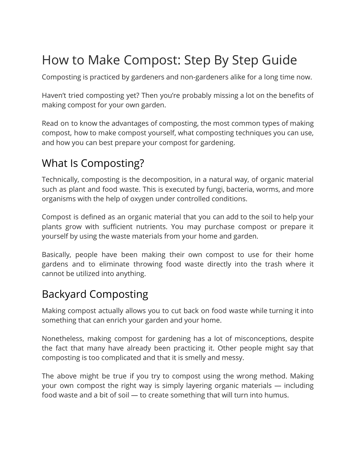# How to Make Compost: Step By Step Guide

Composting is practiced by gardeners and non-gardeners alike for a long time now.

Haven't tried composting yet? Then you're probably missing a lot on the benefits of making compost for your own garden.

Read on to know the advantages of composting, the most common types of making compost, how to make compost yourself, what composting techniques you can use, and how you can best prepare your compost for gardening.

## What Is Composting?

Technically, composting is the decomposition, in a natural way, of organic material such as plant and food waste. This is executed by fungi, bacteria, worms, and more organisms with the help of oxygen under controlled conditions.

Compost is defined as an organic material that you can add to the soil to help your plants grow with sufficient nutrients. You may purchase compost or prepare it yourself by using the waste materials from your home and garden.

Basically, people have been making their own compost to use for their home gardens and to eliminate throwing food waste directly into the trash where it cannot be utilized into anything.

## Backyard Composting

Making compost actually allows you to cut back on food waste while turning it into something that can enrich your garden and your home.

Nonetheless, making compost for gardening has a lot of misconceptions, despite the fact that many have already been practicing it. Other people might say that composting is too complicated and that it is smelly and messy.

The above might be true if you try to compost using the wrong method. Making your own compost the right way is simply layering organic materials — including food waste and a bit of soil — to create something that will turn into humus.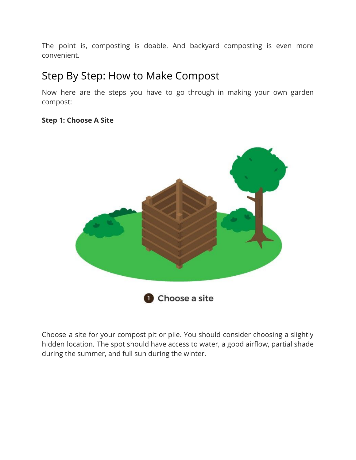The point is, composting is doable. And backyard composting is even more convenient.

### Step By Step: How to Make Compost

Now here are the steps you have to go through in making your own garden compost:

#### **Step 1: Choose A Site**



Choose a site for your compost pit or pile. You should consider choosing a slightly hidden location. The spot should have access to water, a good airflow, partial shade during the summer, and full sun during the winter.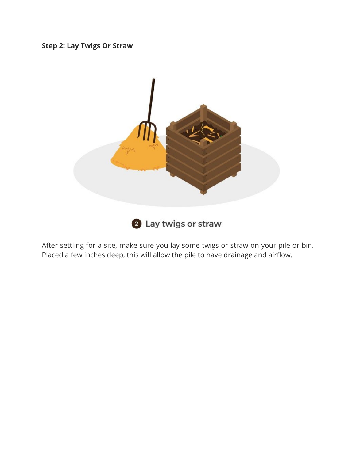#### **Step 2: Lay Twigs Or Straw**



After settling for a site, make sure you lay some twigs or straw on your pile or bin. Placed a few inches deep, this will allow the pile to have drainage and airflow.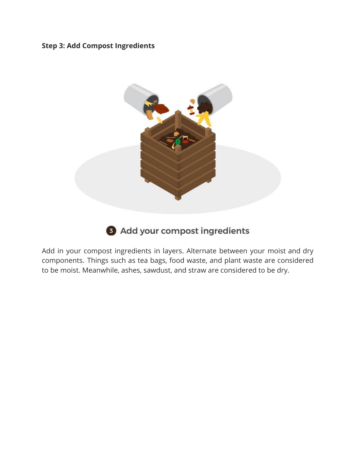#### **Step 3: Add Compost Ingredients**



#### 3 Add your compost ingredients

Add in your compost ingredients in layers. Alternate between your moist and dry components. Things such as tea bags, food waste, and plant waste are considered to be moist. Meanwhile, ashes, sawdust, and straw are considered to be dry.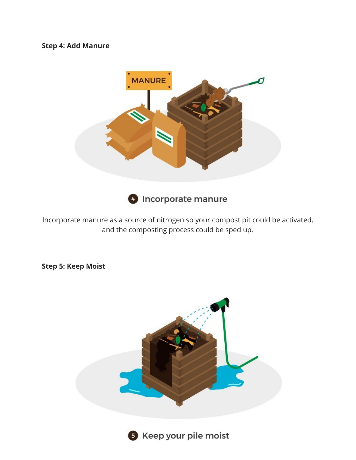#### **Step 4: Add Manure**



**O** Incorporate manure

Incorporate manure as a source of nitrogen so your compost pit could be activated, and the composting process could be sped up.

**Step 5: Keep Moist**





**6** Keep your pile moist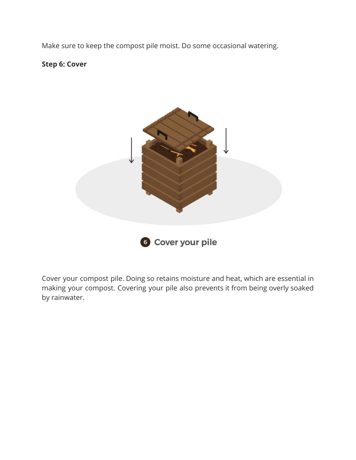Make sure to keep the compost pile moist. Do some occasional watering.

**Step 6: Cover**



Cover your compost pile. Doing so retains moisture and heat, which are essential in making your compost. Covering your pile also prevents it from being overly soaked by rainwater.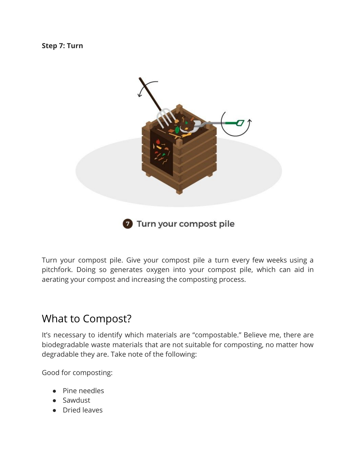**Step 7: Turn**



Turn your compost pile. Give your compost pile a turn every few weeks using a pitchfork. Doing so generates oxygen into your compost pile, which can aid in aerating your compost and increasing the composting process.

### What to Compost?

It's necessary to identify which materials are "compostable." Believe me, there are biodegradable waste materials that are not suitable for composting, no matter how degradable they are. Take note of the following:

Good for composting:

- Pine needles
- Sawdust
- Dried leaves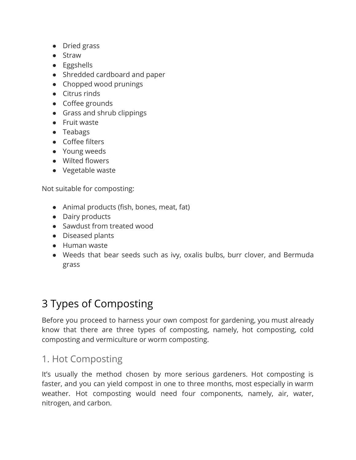- Dried grass
- Straw
- Eggshells
- Shredded cardboard and paper
- Chopped wood prunings
- Citrus rinds
- Coffee grounds
- Grass and shrub clippings
- Fruit waste
- Teabags
- Coffee filters
- Young weeds
- Wilted flowers
- Vegetable waste

Not suitable for composting:

- Animal products (fish, bones, meat, fat)
- Dairy products
- Sawdust from treated wood
- Diseased plants
- Human waste
- Weeds that bear seeds such as ivy, oxalis bulbs, burr clover, and Bermuda grass

## 3 Types of Composting

Before you proceed to harness your own compost for gardening, you must already know that there are three types of composting, namely, hot composting, cold composting and vermiculture or worm composting.

### 1. Hot Composting

It's usually the method chosen by more serious gardeners. Hot composting is faster, and you can yield compost in one to three months, most especially in warm weather. Hot composting would need four components, namely, air, water, nitrogen, and carbon.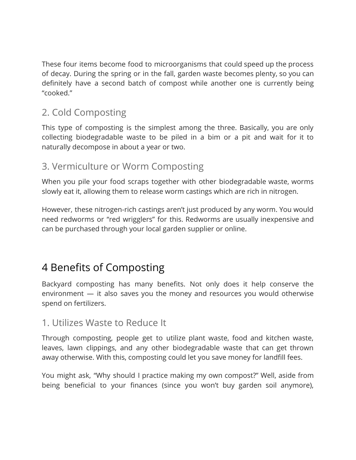These four items become food to microorganisms that could speed up the process of decay. During the spring or in the fall, garden waste becomes plenty, so you can definitely have a second batch of compost while another one is currently being "cooked."

### 2. Cold Composting

This type of composting is the simplest among the three. Basically, you are only collecting biodegradable waste to be piled in a bim or a pit and wait for it to naturally decompose in about a year or two.

### 3. Vermiculture or Worm Composting

When you pile your food scraps together with other biodegradable waste, worms slowly eat it, allowing them to release worm castings which are rich in nitrogen.

However, these nitrogen-rich castings aren't just produced by any worm. You would need redworms or "red wrigglers" for this. Redworms are usually inexpensive and can be purchased through your local garden supplier or online.

## 4 Benefits of Composting

Backyard composting has many benefits. Not only does it help conserve the environment — it also saves you the money and resources you would otherwise spend on fertilizers.

#### 1. Utilizes Waste to Reduce It

Through composting, people get to utilize plant waste, food and kitchen waste, leaves, lawn clippings, and any other biodegradable waste that can get thrown away otherwise. With this, composting could let you save money for landfill fees.

You might ask, "Why should I practice making my own compost?" Well, aside from being beneficial to your finances (since you won't buy garden soil anymore),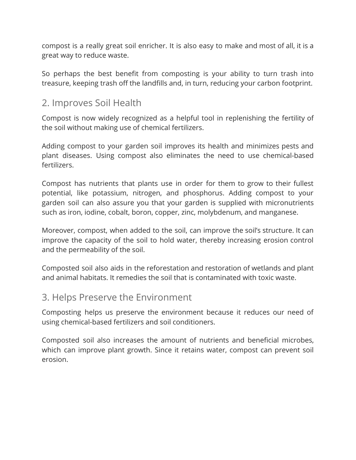compost is a really great soil enricher. It is also easy to make and most of all, it is a great way to reduce waste.

So perhaps the best benefit from composting is your ability to turn trash into treasure, keeping trash off the landfills and, in turn, reducing your carbon footprint.

#### 2. Improves Soil Health

Compost is now widely recognized as a helpful tool in replenishing the fertility of the soil without making use of chemical fertilizers.

Adding compost to your garden soil improves its health and minimizes pests and plant diseases. Using compost also eliminates the need to use chemical-based fertilizers.

Compost has nutrients that plants use in order for them to grow to their fullest potential, like potassium, nitrogen, and phosphorus. Adding compost to your garden soil can also assure you that your garden is supplied with micronutrients such as iron, iodine, cobalt, boron, copper, zinc, molybdenum, and manganese.

Moreover, compost, when added to the soil, can improve the soil's structure. It can improve the capacity of the soil to hold water, thereby increasing erosion control and the permeability of the soil.

Composted soil also aids in the reforestation and restoration of wetlands and plant and animal habitats. It remedies the soil that is contaminated with toxic waste.

#### 3. Helps Preserve the Environment

Composting helps us preserve the environment because it reduces our need of using chemical-based fertilizers and soil conditioners.

Composted soil also increases the amount of nutrients and beneficial microbes, which can improve plant growth. Since it retains water, compost can prevent soil erosion.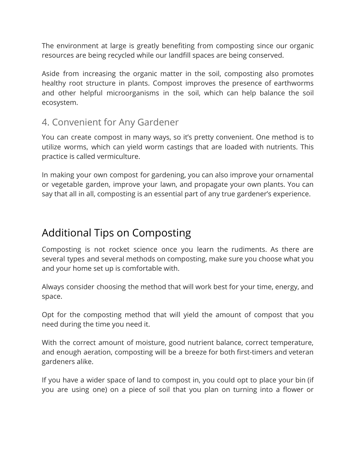The environment at large is greatly benefiting from composting since our organic resources are being recycled while our landfill spaces are being conserved.

Aside from increasing the organic matter in the soil, composting also promotes healthy root structure in plants. Compost improves the presence of earthworms and other helpful microorganisms in the soil, which can help balance the soil ecosystem.

#### 4. Convenient for Any Gardener

You can create compost in many ways, so it's pretty convenient. One method is to utilize worms, which can yield worm castings that are loaded with nutrients. This practice is called vermiculture.

In making your own compost for gardening, you can also improve your ornamental or vegetable garden, improve your lawn, and propagate your own plants. You can say that all in all, composting is an essential part of any true gardener's experience.

## Additional Tips on Composting

Composting is not rocket science once you learn the rudiments. As there are several types and several methods on composting, make sure you choose what you and your home set up is comfortable with.

Always consider choosing the method that will work best for your time, energy, and space.

Opt for the composting method that will yield the amount of compost that you need during the time you need it.

With the correct amount of moisture, good nutrient balance, correct temperature, and enough aeration, composting will be a breeze for both first-timers and veteran gardeners alike.

If you have a wider space of land to compost in, you could opt to place your bin (if you are using one) on a piece of soil that you plan on turning into a flower or